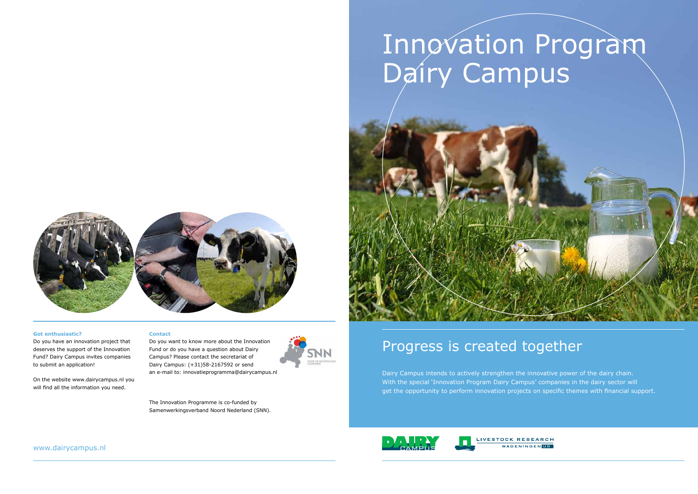# Progress is created together

Dairy Campus intends to actively strengthen the innovative power of the dairy chain. With the special 'Innovation Program Dairy Campus' companies in the dairy sector will get the opportunity to perform innovation projects on specific themes with financial support.



# Innovation Program Dairy Campus



#### **Got enthusiastic?**

Do you have an innovation project that deserves the support of the Innovation Fund? Dairy Campus invites companies to submit an application!

On the website www.dairycampus.nl you will find all the information you need.

#### **Contact**

Do you want to know more about the Innovation Fund or do you have a question about Dairy Campus? Please contact the secretariat of Dairy Campus: (+31)58-2167592 or send an e-mail to: innovatieprogramma@dairycampus.nl

The Innovation Programme is co-funded by Samenwerkingsverband Noord Nederland (SNN).



www.dairycampus.nl